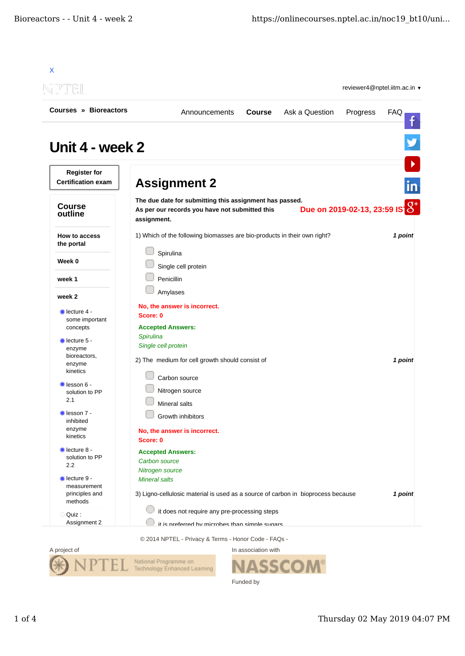| $\Rightarrow$                                                       |                                                                      |                                                                                                           |               |                                                                                  | reviewer4@nptel.iitm.ac.in v  |            |  |  |
|---------------------------------------------------------------------|----------------------------------------------------------------------|-----------------------------------------------------------------------------------------------------------|---------------|----------------------------------------------------------------------------------|-------------------------------|------------|--|--|
| Courses » Bioreactors                                               |                                                                      | Announcements                                                                                             | <b>Course</b> | Ask a Question                                                                   | Progress                      | <b>FAQ</b> |  |  |
| Unit 4 - week 2<br><b>Register for</b><br><b>Certification exam</b> |                                                                      |                                                                                                           |               |                                                                                  |                               |            |  |  |
|                                                                     | <b>Assignment 2</b>                                                  |                                                                                                           |               |                                                                                  |                               |            |  |  |
| <b>Course</b><br>outline                                            | assignment.                                                          | The due date for submitting this assignment has passed.<br>As per our records you have not submitted this |               |                                                                                  | Due on 2019-02-13, 23:59 IS 8 |            |  |  |
| <b>How to access</b><br>the portal                                  | Spirulina                                                            | 1) Which of the following biomasses are bio-products in their own right?                                  |               |                                                                                  |                               | 1 point    |  |  |
| Week 0                                                              |                                                                      | Single cell protein                                                                                       |               |                                                                                  |                               |            |  |  |
| week 1                                                              | Penicillin                                                           |                                                                                                           |               |                                                                                  |                               |            |  |  |
| week 2                                                              | Amylases                                                             |                                                                                                           |               |                                                                                  |                               |            |  |  |
| $\blacksquare$ lecture 4 -<br>some important<br>concepts            | No, the answer is incorrect.<br>Score: 0<br><b>Accepted Answers:</b> |                                                                                                           |               |                                                                                  |                               |            |  |  |
| lecture 5 -<br>enzyme<br>bioreactors,                               | Spirulina<br>Single cell protein                                     |                                                                                                           |               |                                                                                  |                               |            |  |  |
| enzyme<br>kinetics                                                  |                                                                      | 2) The medium for cell growth should consist of                                                           |               |                                                                                  |                               | 1 point    |  |  |
| lesson 6 -<br>solution to PP<br>2.1                                 | Carbon source                                                        | Nitrogen source                                                                                           |               |                                                                                  |                               |            |  |  |
| lesson 7 -                                                          | Mineral salts                                                        | Growth inhibitors                                                                                         |               |                                                                                  |                               |            |  |  |
| inhibited<br>enzyme<br>kinetics                                     | Score: 0                                                             | No, the answer is incorrect.                                                                              |               |                                                                                  |                               |            |  |  |
| lecture 8 -<br>solution to PP<br>2.2                                | <b>Accepted Answers:</b><br>Carbon source                            |                                                                                                           |               |                                                                                  |                               |            |  |  |
| lecture 9 -<br>measurement<br>principles and                        | Nitrogen source<br><b>Mineral salts</b>                              |                                                                                                           |               | 3) Ligno-cellulosic material is used as a source of carbon in bioprocess because |                               | 1 point    |  |  |
| methods<br>Quiz:                                                    |                                                                      | it does not require any pre-processing steps                                                              |               | it is proferred by microbes than simple sugars                                   |                               |            |  |  |

© 2014 NPTEL - Privacy & Terms - Honor Code - FAQs -



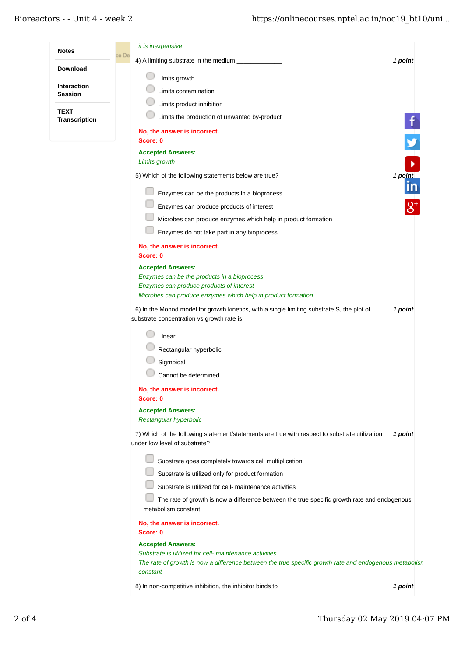| <b>Notes</b>                         |       | it is inexpensive                                                                                                                       |         |
|--------------------------------------|-------|-----------------------------------------------------------------------------------------------------------------------------------------|---------|
|                                      | ce De | 4) A limiting substrate in the medium                                                                                                   | 1 point |
| <b>Download</b>                      |       | Limits growth                                                                                                                           |         |
| <b>Interaction</b><br><b>Session</b> |       | Limits contamination                                                                                                                    |         |
|                                      |       | Limits product inhibition                                                                                                               |         |
| <b>TEXT</b><br>Transcription         |       | Limits the production of unwanted by-product                                                                                            |         |
|                                      |       | No, the answer is incorrect.                                                                                                            |         |
|                                      |       | Score: 0                                                                                                                                |         |
|                                      |       | <b>Accepted Answers:</b><br>Limits growth                                                                                               |         |
|                                      |       | 5) Which of the following statements below are true?                                                                                    | 1 point |
|                                      |       | Enzymes can be the products in a bioprocess                                                                                             |         |
|                                      |       | Enzymes can produce products of interest                                                                                                |         |
|                                      |       | Microbes can produce enzymes which help in product formation                                                                            |         |
|                                      |       | Enzymes do not take part in any bioprocess                                                                                              |         |
|                                      |       | No, the answer is incorrect.                                                                                                            |         |
|                                      |       | Score: 0                                                                                                                                |         |
|                                      |       | <b>Accepted Answers:</b><br>Enzymes can be the products in a bioprocess                                                                 |         |
|                                      |       | Enzymes can produce products of interest                                                                                                |         |
|                                      |       | Microbes can produce enzymes which help in product formation                                                                            |         |
|                                      |       | 6) In the Monod model for growth kinetics, with a single limiting substrate S, the plot of<br>substrate concentration vs growth rate is | 1 point |
|                                      |       | Linear                                                                                                                                  |         |
|                                      |       | Rectangular hyperbolic                                                                                                                  |         |
|                                      |       | Sigmoidal                                                                                                                               |         |
|                                      |       | Cannot be determined                                                                                                                    |         |
|                                      |       | No, the answer is incorrect.<br>Score: 0                                                                                                |         |
|                                      |       | <b>Accepted Answers:</b>                                                                                                                |         |
|                                      |       | Rectangular hyperbolic                                                                                                                  |         |
|                                      |       | 7) Which of the following statement/statements are true with respect to substrate utilization<br>under low level of substrate?          | 1 point |
|                                      |       | Substrate goes completely towards cell multiplication                                                                                   |         |
|                                      |       | Substrate is utilized only for product formation                                                                                        |         |
|                                      |       | Substrate is utilized for cell- maintenance activities                                                                                  |         |
|                                      |       | The rate of growth is now a difference between the true specific growth rate and endogenous<br>metabolism constant                      |         |
|                                      |       | No, the answer is incorrect.                                                                                                            |         |
|                                      |       | Score: 0                                                                                                                                |         |
|                                      |       | <b>Accepted Answers:</b><br>Substrate is utilized for cell- maintenance activities                                                      |         |
|                                      |       | The rate of growth is now a difference between the true specific growth rate and endogenous metabolisr<br>constant                      |         |
|                                      |       | 8) In non-competitive inhibition, the inhibitor binds to                                                                                | 1 point |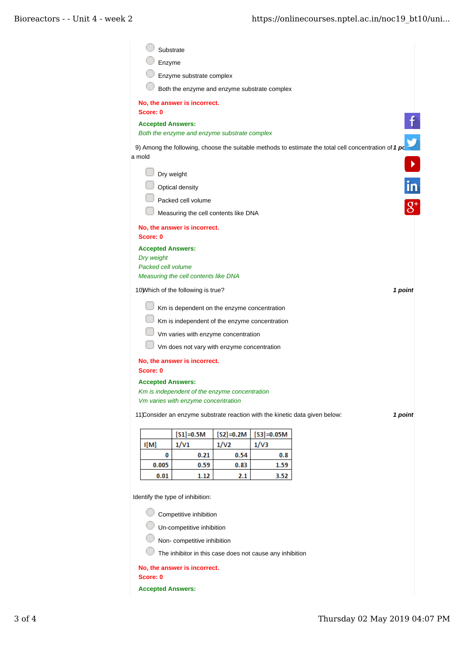|                          | Substrate                                     |                     |                        |                                                                                                        |
|--------------------------|-----------------------------------------------|---------------------|------------------------|--------------------------------------------------------------------------------------------------------|
| Enzyme                   |                                               |                     |                        |                                                                                                        |
|                          | Enzyme substrate complex                      |                     |                        |                                                                                                        |
|                          | Both the enzyme and enzyme substrate complex  |                     |                        |                                                                                                        |
|                          | No, the answer is incorrect.                  |                     |                        |                                                                                                        |
| Score: 0                 |                                               |                     |                        |                                                                                                        |
| <b>Accepted Answers:</b> | Both the enzyme and enzyme substrate complex  |                     |                        |                                                                                                        |
|                          |                                               |                     |                        | ý                                                                                                      |
| a mold                   |                                               |                     |                        | 9) Among the following, choose the suitable methods to estimate the total cell concentration of $1 pc$ |
|                          | Dry weight                                    |                     |                        |                                                                                                        |
|                          | Optical density                               |                     |                        | in                                                                                                     |
|                          | Packed cell volume                            |                     |                        |                                                                                                        |
|                          | Measuring the cell contents like DNA          |                     |                        |                                                                                                        |
|                          |                                               |                     |                        |                                                                                                        |
| Score: 0                 | No, the answer is incorrect.                  |                     |                        |                                                                                                        |
| <b>Accepted Answers:</b> |                                               |                     |                        |                                                                                                        |
| Dry weight               |                                               |                     |                        |                                                                                                        |
| Packed cell volume       | Measuring the cell contents like DNA          |                     |                        |                                                                                                        |
|                          | 10) Which of the following is true?           |                     |                        | 1 point                                                                                                |
|                          |                                               |                     |                        |                                                                                                        |
|                          | Km is dependent on the enzyme concentration   |                     |                        |                                                                                                        |
|                          | Km is independent of the enzyme concentration |                     |                        |                                                                                                        |
|                          | Vm varies with enzyme concentration           |                     |                        |                                                                                                        |
|                          | Vm does not vary with enzyme concentration    |                     |                        |                                                                                                        |
|                          | No, the answer is incorrect.                  |                     |                        |                                                                                                        |
| Score: 0                 |                                               |                     |                        |                                                                                                        |
| <b>Accepted Answers:</b> | Km is independent of the enzyme concentration |                     |                        |                                                                                                        |
|                          | Vm varies with enzyme concentration           |                     |                        |                                                                                                        |
|                          |                                               |                     |                        | 11)Consider an enzyme substrate reaction with the kinetic data given below:<br>1 point                 |
|                          |                                               |                     |                        |                                                                                                        |
|                          | $[S1] = 0.5M$                                 | $[S2]=0.2M$<br>1/V2 | $[S3] = 0.05M$<br>1/V3 |                                                                                                        |
|                          |                                               |                     |                        |                                                                                                        |
| I[M]                     | 1/V1                                          |                     |                        |                                                                                                        |
| 0<br>0.005               | 0.21<br>0.59                                  | 0.54<br>0.83        | 0.8<br>1.59            |                                                                                                        |